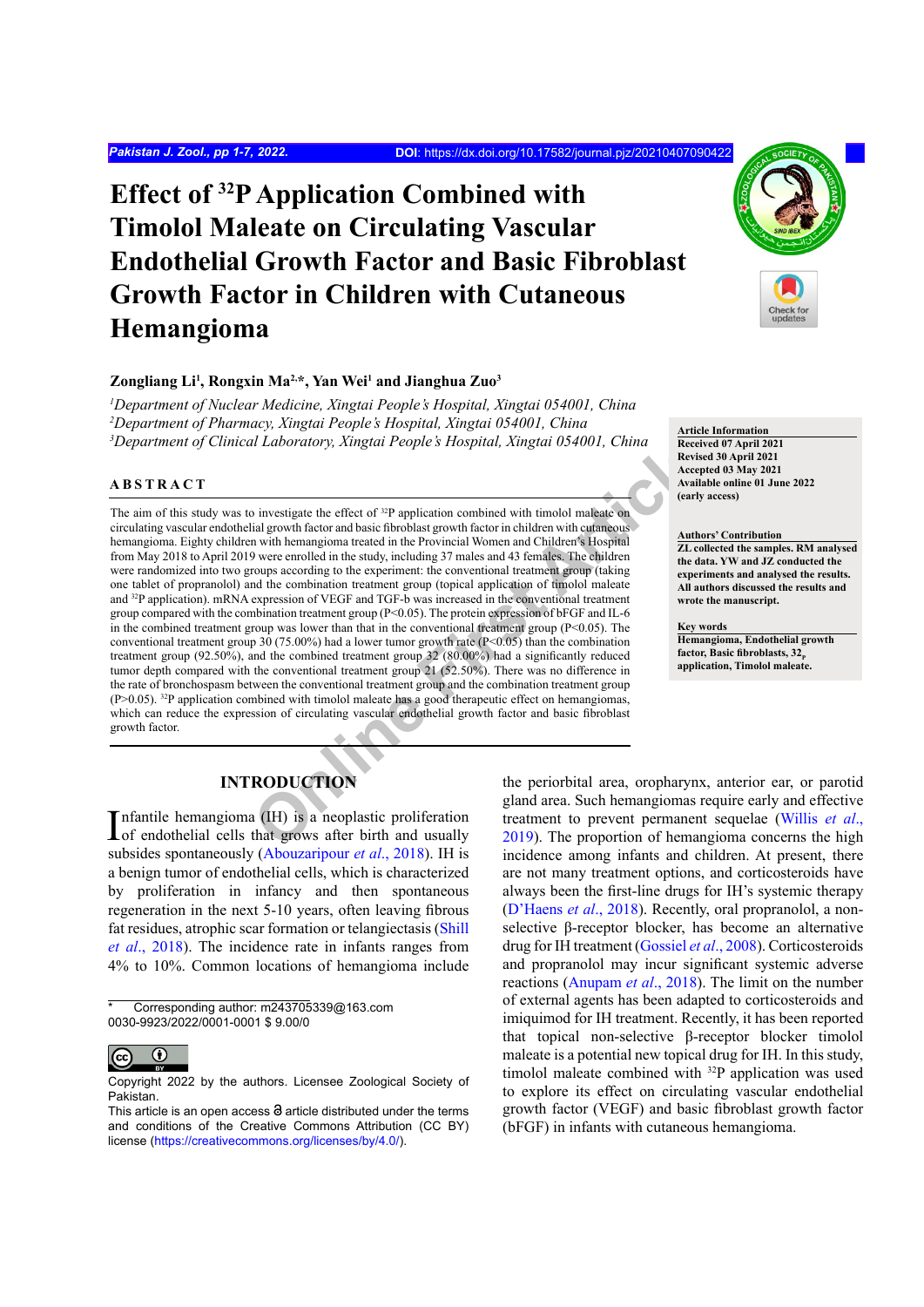# **Effect of 32P Application Combined with Timolol Maleate on Circulating Vascular Endothelial Growth Factor and Basic Fibroblast Growth Factor in Children with Cutaneous Hemangioma**

#### **Zongliang Li1 , Rongxin Ma2,\*, Yan Wei1 and Jianghua Zuo3**

*1 Department of Nuclear Medicine, Xingtai People's Hospital, Xingtai 054001, China 2 Department of Pharmacy, Xingtai People's Hospital, Xingtai 054001, China 3 Department of Clinical Laboratory, Xingtai People's Hospital, Xingtai 054001, China*

## **ABSTRACT**

It Laboratory, Xingtai People's Hospital, Xingtai 054001, China<br>
Necessary investigate the effect of <sup>21</sup>P application combined with timolol maleate on<br>
investigate the effect of <sup>21</sup>P application combined with timolol mal The aim of this study was to investigate the effect of <sup>32</sup>P application combined with timolol maleate on circulating vascular endothelial growth factor and basic fibroblast growth factor in children with cutaneous hemangioma. Eighty children with hemangioma treated in the Provincial Women and Children's Hospital from May 2018 to April 2019 were enrolled in the study, including 37 males and 43 females. The children were randomized into two groups according to the experiment: the conventional treatment group (taking one tablet of propranolol) and the combination treatment group (topical application of timolol maleate and 32P application). mRNA expression of VEGF and TGF-b was increased in the conventional treatment group compared with the combination treatment group (P<0.05). The protein expression of bFGF and IL-6 in the combined treatment group was lower than that in the conventional treatment group  $(P<0.05)$ . The conventional treatment group 30 (75.00%) had a lower tumor growth rate (P<0.05) than the combination treatment group (92.50%), and the combined treatment group 32 (80.00%) had a significantly reduced tumor depth compared with the conventional treatment group 21 (52.50%). There was no difference in the rate of bronchospasm between the conventional treatment group and the combination treatment group (P>0.05). 32P application combined with timolol maleate has a good therapeutic effect on hemangiomas, which can reduce the expression of circulating vascular endothelial growth factor and basic fibroblast growth factor.



**Article Information Received 07 April 2021 Revised 30 April 2021 Accepted 03 May 2021 Available online 01 June 2022 (early access)**

#### **Authors' Contribution**

**ZL collected the samples. RM analysed the data. YW and JZ conducted the experiments and analysed the results. All authors discussed the results and wrote the manuscript.**

**Key words**

**Hemangioma, Endothelial growth**  factor, Basic fibroblasts,  $32<sub>n</sub>$ <sup>p</sup> **application, Timolol maleate.**

## **INTRODUCTION**

Infantile hemangioma (IH) is a neoplastic proliferation of endothelial cells that grows after birth and usually subsides spontaneously ([Abouzaripour](#page-5-0) *et al*., 2018). IH is a benign tumor of endothelial cells, which is characterized by proliferation in infancy and then spontaneous regeneration in the next 5-10 years, often leaving fibrous fat residues, atrophic scar formation or telangiectasis [\(Shill](#page-6-0) *et al*[., 2018](#page-6-0)). The incidence rate in infants ranges from 4% to 10%. Common locations of hemangioma include

<sup>\*</sup> Corresponding author: m243705339@163.com 0030-9923/2022/0001-0001 \$ 9.00/0



Copyright 2022 by the authors. Licensee Zoological Society of Pakistan.

the periorbital area, oropharynx, anterior ear, or parotid gland area. Such hemangiomas require early and effective treatment to prevent permanent sequelae ([Willis](#page-6-1) *et al*., 2019). The proportion of hemangioma concerns the high incidence among infants and children. At present, there are not many treatment options, and corticosteroids have always been the first-line drugs for IH's systemic therapy (D'Haens *et al*., 2018). Recently, oral propranolol, a nonselective β-receptor blocker, has become an alternative drug for IH treatment ([Gossiel](#page-5-1) *et al*., 2008). Corticosteroids and propranolol may incur significant systemic adverse reactions [\(Anupam](#page-5-2) *et al*., 2018). The limit on the number of external agents has been adapted to corticosteroids and imiquimod for IH treatment. Recently, it has been reported that topical non-selective β-receptor blocker timolol maleate is a potential new topical drug for IH. In this study, timolol maleate combined with 32P application was used to explore its effect on circulating vascular endothelial growth factor (VEGF) and basic fibroblast growth factor (bFGF) in infants with cutaneous hemangioma.

This article is an open access  $\Theta$  article distributed under the terms and conditions of the Creative Commons Attribution (CC BY) license (<https://creativecommons.org/licenses/by/4.0/>).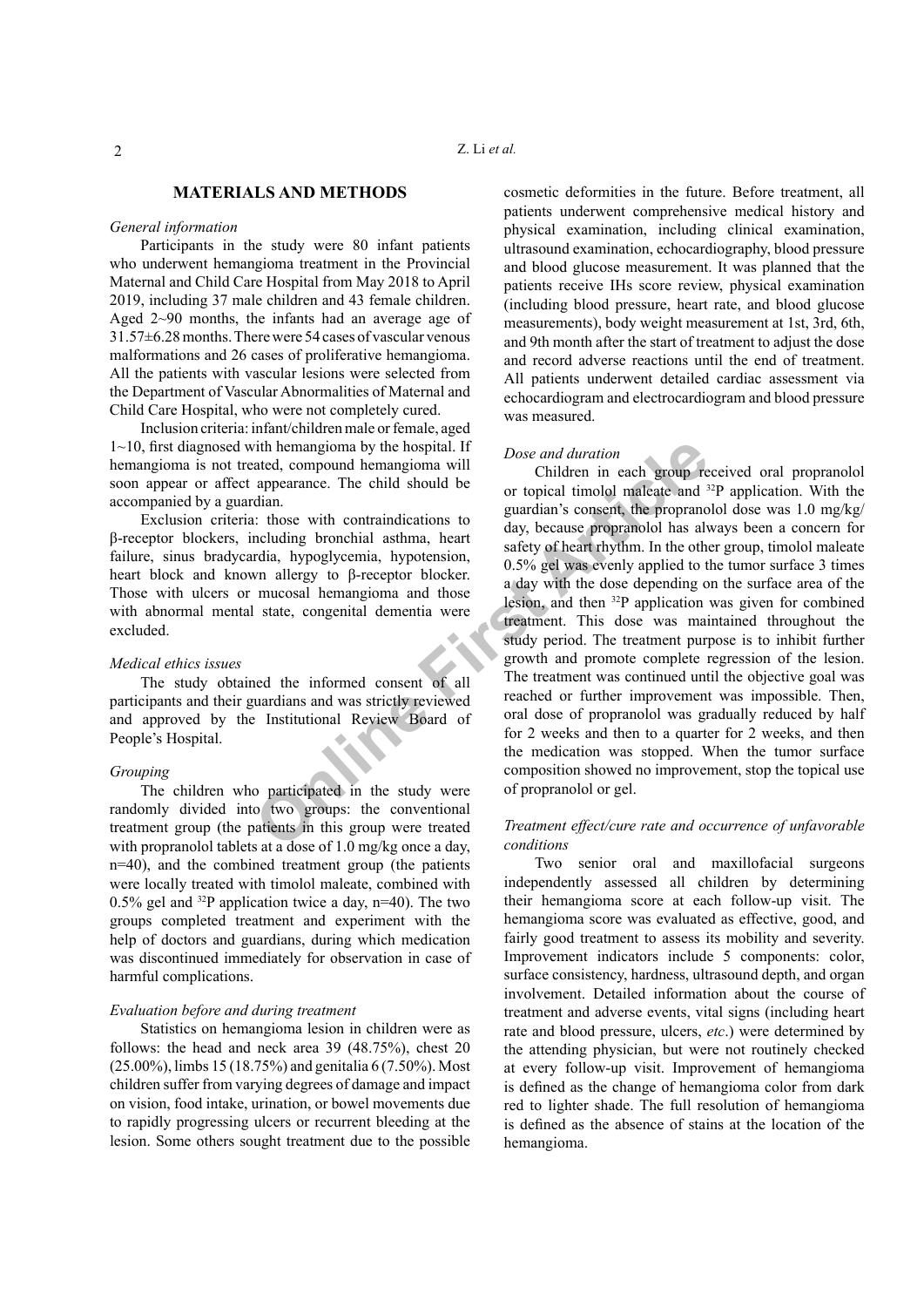## **MATERIALS AND METHODS**

## *General information*

Participants in the study were 80 infant patients who underwent hemangioma treatment in the Provincial Maternal and Child Care Hospital from May 2018 to April 2019, including 37 male children and 43 female children. Aged 2~90 months, the infants had an average age of 31.57±6.28 months. There were 54 cases of vascular venous malformations and 26 cases of proliferative hemangioma. All the patients with vascular lesions were selected from the Department of Vascular Abnormalities of Maternal and Child Care Hospital, who were not completely cured.

Inclusion criteria: infant/children male or female, aged 1~10, first diagnosed with hemangioma by the hospital. If hemangioma is not treated, compound hemangioma will soon appear or affect appearance. The child should be accompanied by a guardian.

Exclusion criteria: those with contraindications to β-receptor blockers, including bronchial asthma, heart failure, sinus bradycardia, hypoglycemia, hypotension, heart block and known allergy to β-receptor blocker. Those with ulcers or mucosal hemangioma and those with abnormal mental state, congenital dementia were excluded.

#### *Medical ethics issues*

The study obtained the informed consent of all participants and their guardians and was strictly reviewed and approved by the Institutional Review Board of People's Hospital.

## *Grouping*

The children who participated in the study were randomly divided into two groups: the conventional treatment group (the patients in this group were treated with propranolol tablets at a dose of 1.0 mg/kg once a day, n=40), and the combined treatment group (the patients were locally treated with timolol maleate, combined with 0.5% gel and  $^{32}P$  application twice a day, n=40). The two groups completed treatment and experiment with the help of doctors and guardians, during which medication was discontinued immediately for observation in case of harmful complications.

## *Evaluation before and during treatment*

Statistics on hemangioma lesion in children were as follows: the head and neck area 39 (48.75%), chest 20 (25.00%), limbs 15 (18.75%) and genitalia 6 (7.50%). Most children suffer from varying degrees of damage and impact on vision, food intake, urination, or bowel movements due to rapidly progressing ulcers or recurrent bleeding at the lesion. Some others sought treatment due to the possible cosmetic deformities in the future. Before treatment, all patients underwent comprehensive medical history and physical examination, including clinical examination, ultrasound examination, echocardiography, blood pressure and blood glucose measurement. It was planned that the patients receive IHs score review, physical examination (including blood pressure, heart rate, and blood glucose measurements), body weight measurement at 1st, 3rd, 6th, and 9th month after the start of treatment to adjust the dose and record adverse reactions until the end of treatment. All patients underwent detailed cardiac assessment via echocardiogram and electrocardiogram and blood pressure was measured.

## *Dose and duration*

The tect of all state, congenial and the state of all state of properation and the appearance. The child should be<br>
articlear in each group re<br>
articlear in each group red dinn.<br>
This consent, the propranon and day, becaus Children in each group received oral propranolol or topical timolol maleate and 32P application. With the guardian's consent, the propranolol dose was 1.0 mg/kg/ day, because propranolol has always been a concern for safety of heart rhythm. In the other group, timolol maleate 0.5% gel was evenly applied to the tumor surface 3 times a day with the dose depending on the surface area of the lesion, and then 32P application was given for combined treatment. This dose was maintained throughout the study period. The treatment purpose is to inhibit further growth and promote complete regression of the lesion. The treatment was continued until the objective goal was reached or further improvement was impossible. Then, oral dose of propranolol was gradually reduced by half for 2 weeks and then to a quarter for 2 weeks, and then the medication was stopped. When the tumor surface composition showed no improvement, stop the topical use of propranolol or gel.

## *Treatment effect/cure rate and occurrence of unfavorable conditions*

Two senior oral and maxillofacial surgeons independently assessed all children by determining their hemangioma score at each follow-up visit. The hemangioma score was evaluated as effective, good, and fairly good treatment to assess its mobility and severity. Improvement indicators include 5 components: color, surface consistency, hardness, ultrasound depth, and organ involvement. Detailed information about the course of treatment and adverse events, vital signs (including heart rate and blood pressure, ulcers, *etc*.) were determined by the attending physician, but were not routinely checked at every follow-up visit. Improvement of hemangioma is defined as the change of hemangioma color from dark red to lighter shade. The full resolution of hemangioma is defined as the absence of stains at the location of the hemangioma.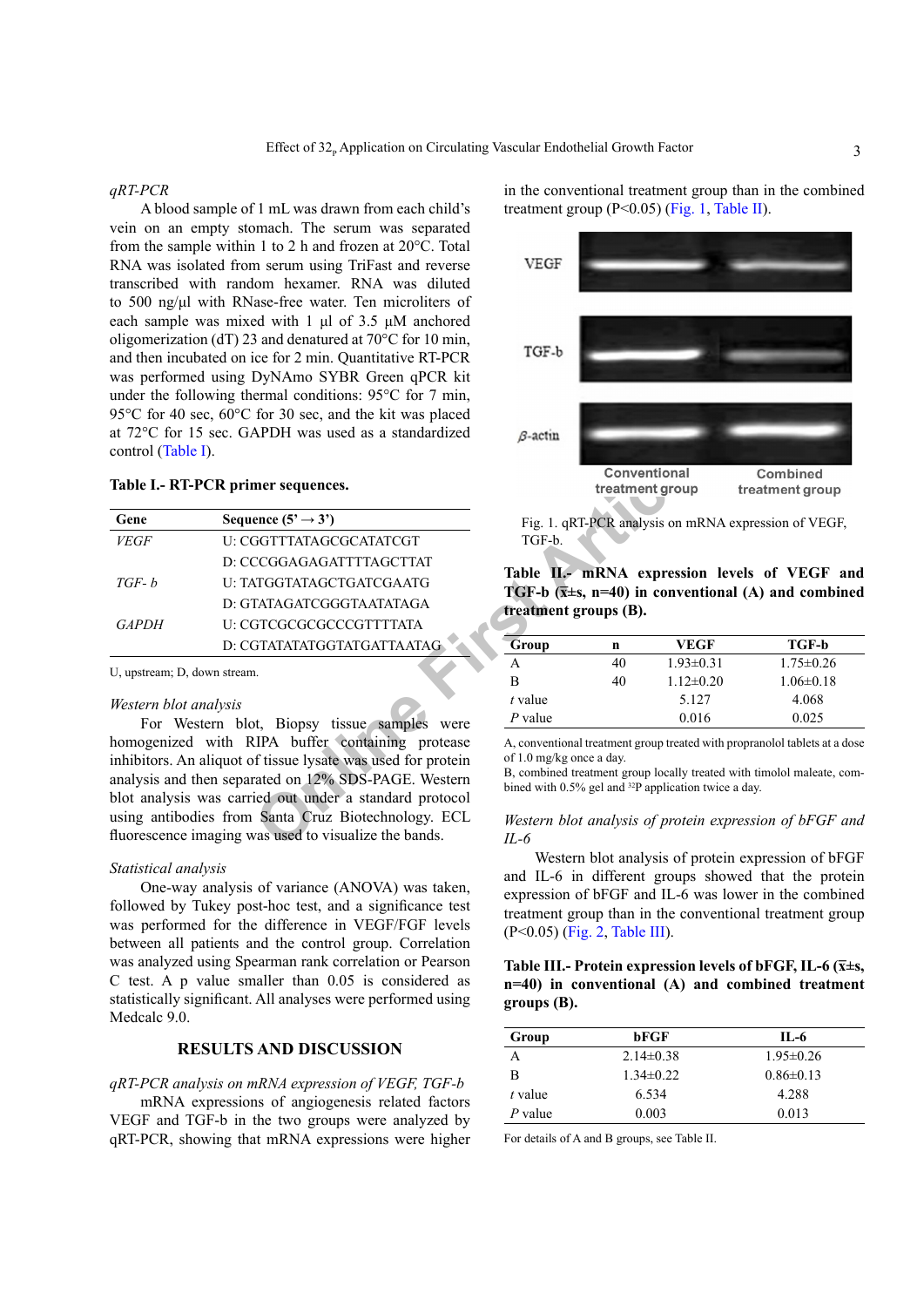#### *qRT-PCR*

A blood sample of 1 mL was drawn from each child's vein on an empty stomach. The serum was separated from the sample within 1 to 2 h and frozen at 20°C. Total RNA was isolated from serum using TriFast and reverse transcribed with random hexamer. RNA was diluted to 500 ng/μl with RNase-free water. Ten microliters of each sample was mixed with 1 μl of 3.5 μM anchored oligomerization (dT) 23 and denatured at 70°C for 10 min, and then incubated on ice for 2 min. Quantitative RT-PCR was performed using DyNAmo SYBR Green qPCR kit under the following thermal conditions: 95°C for 7 min, 95°C for 40 sec, 60°C for 30 sec, and the kit was placed at 72°C for 15 sec. GAPDH was used as a standardized control ([Table](#page-2-0) I).

#### <span id="page-2-0"></span>**Table I.- RT-PCR primer sequences.**

| control (Table I).           |                                                                                                                                                                                                                                     |                                                                                                                                                                      |             |                                 |
|------------------------------|-------------------------------------------------------------------------------------------------------------------------------------------------------------------------------------------------------------------------------------|----------------------------------------------------------------------------------------------------------------------------------------------------------------------|-------------|---------------------------------|
|                              | Table I.- RT-PCR primer sequences.                                                                                                                                                                                                  |                                                                                                                                                                      |             | Conventional<br>treatment group |
| Gene                         | Sequence $(5' \rightarrow 3')$                                                                                                                                                                                                      |                                                                                                                                                                      |             | Fig. 1. qRT-PCR analysis on mRI |
| <i>VEGF</i>                  | U: CGGTTTATAGCGCATATCGT                                                                                                                                                                                                             | TGF-b.                                                                                                                                                               |             |                                 |
|                              | D: CCCGGAGAGATTTTAGCTTAT                                                                                                                                                                                                            |                                                                                                                                                                      |             |                                 |
| $TGF-b$                      | U: TATGGTATAGCTGATCGAATG                                                                                                                                                                                                            | Table II.- mRNA expression                                                                                                                                           |             |                                 |
|                              | D: GTATAGATCGGGTAATATAGA                                                                                                                                                                                                            | TGF-b $(\overline{x} \pm s, n=40)$ in conventi<br>treatment groups (B).                                                                                              |             |                                 |
| <b>GAPDH</b>                 | U: CGTCGCGCGCCCGTTTTATA                                                                                                                                                                                                             |                                                                                                                                                                      |             |                                 |
|                              | D: CGTATATATGGTATGATTAATAG                                                                                                                                                                                                          | Group                                                                                                                                                                | $\mathbf n$ | <b>VEGI</b>                     |
| U, upstream; D, down stream. |                                                                                                                                                                                                                                     | A                                                                                                                                                                    | 40          | $1.93 \pm 0.$                   |
|                              |                                                                                                                                                                                                                                     | B                                                                                                                                                                    | 40          | $1.12 \pm 0.$                   |
| Western blot analysis        |                                                                                                                                                                                                                                     | $t$ value                                                                                                                                                            |             | 5.127                           |
|                              | For Western blot, Biopsy tissue samples were                                                                                                                                                                                        | $P$ value                                                                                                                                                            |             | 0.016                           |
|                              | homogenized with RIPA buffer containing protease<br>inhibitors. An aliquot of tissue lysate was used for protein<br>analysis and then separated on 12% SDS-PAGE. Western<br>blot analysis was carried out under a standard protocol | A, conventional treatment group treated w<br>of 1.0 mg/kg once a day.<br>B, combined treatment group locally trea<br>bined with $0.5\%$ gel and $32P$ application to |             |                                 |
|                              | using antibodies from Santa Cruz Biotechnology. ECL<br>fluorescence imaging was used to visualize the bands.                                                                                                                        | Western blot analysis of protein<br>IL-6                                                                                                                             |             |                                 |

#### *Western blot analysis*

#### *Statistical analysis*

One-way analysis of variance (ANOVA) was taken, followed by Tukey post-hoc test, and a significance test was performed for the difference in VEGF/FGF levels between all patients and the control group. Correlation was analyzed using Spearman rank correlation or Pearson C test. A p value smaller than 0.05 is considered as statistically significant. All analyses were performed using Medcalc 9.0.

## **RESULTS AND DISCUSSION**

## *qRT-PCR analysis on mRNA expression of VEGF, TGF-b*

mRNA expressions of angiogenesis related factors VEGF and TGF-b in the two groups were analyzed by qRT-PCR, showing that mRNA expressions were higher in the conventional treatment group than in the combined treatment group (P<0.05) [\(Fig.](#page-2-1) 1, [Table](#page-2-2) II).



<span id="page-2-1"></span>Fig. 1. qRT-PCR analysis on mRNA expression of VEGF, TGF-b.

## <span id="page-2-2"></span>**Table II.- mRNA expression levels of VEGF and TGF-b (x̅±s, n=40) in conventional (A) and combined treatment groups (B).**

| Group   | n  | <b>VEGF</b>     | TGF-b           |
|---------|----|-----------------|-----------------|
| A       | 40 | $1.93 \pm 0.31$ | $1.75 \pm 0.26$ |
| в       | 40 | $1.12 \pm 0.20$ | $1.06\pm0.18$   |
| t value |    | 5.127           | 4.068           |
| P value |    | 0.016           | 0.025           |

A, conventional treatment group treated with propranolol tablets at a dose of 1.0 mg/kg once a day.

B, combined treatment group locally treated with timolol maleate, combined with 0.5% gel and <sup>32</sup>P application twice a day.

## *Western blot analysis of protein expression of bFGF and IL-6*

Western blot analysis of protein expression of bFGF and IL-6 in different groups showed that the protein expression of bFGF and IL-6 was lower in the combined treatment group than in the conventional treatment group (P<0.05) ([Fig.](#page-3-0) 2, [Table](#page-2-3) III).

## <span id="page-2-3"></span>**Table III.- Protein expression levels of bFGF, IL-6 (x̅±s, n=40) in conventional (A) and combined treatment groups (B).**

| Group     | bFGF          | IL-6            |
|-----------|---------------|-----------------|
| А         | $2.14\pm0.38$ | $1.95 \pm 0.26$ |
| В         | $1.34\pm0.22$ | $0.86 \pm 0.13$ |
| $t$ value | 6.534         | 4.288           |
| P value   | 0.003         | 0.013           |

For details of A and B groups, see Table II.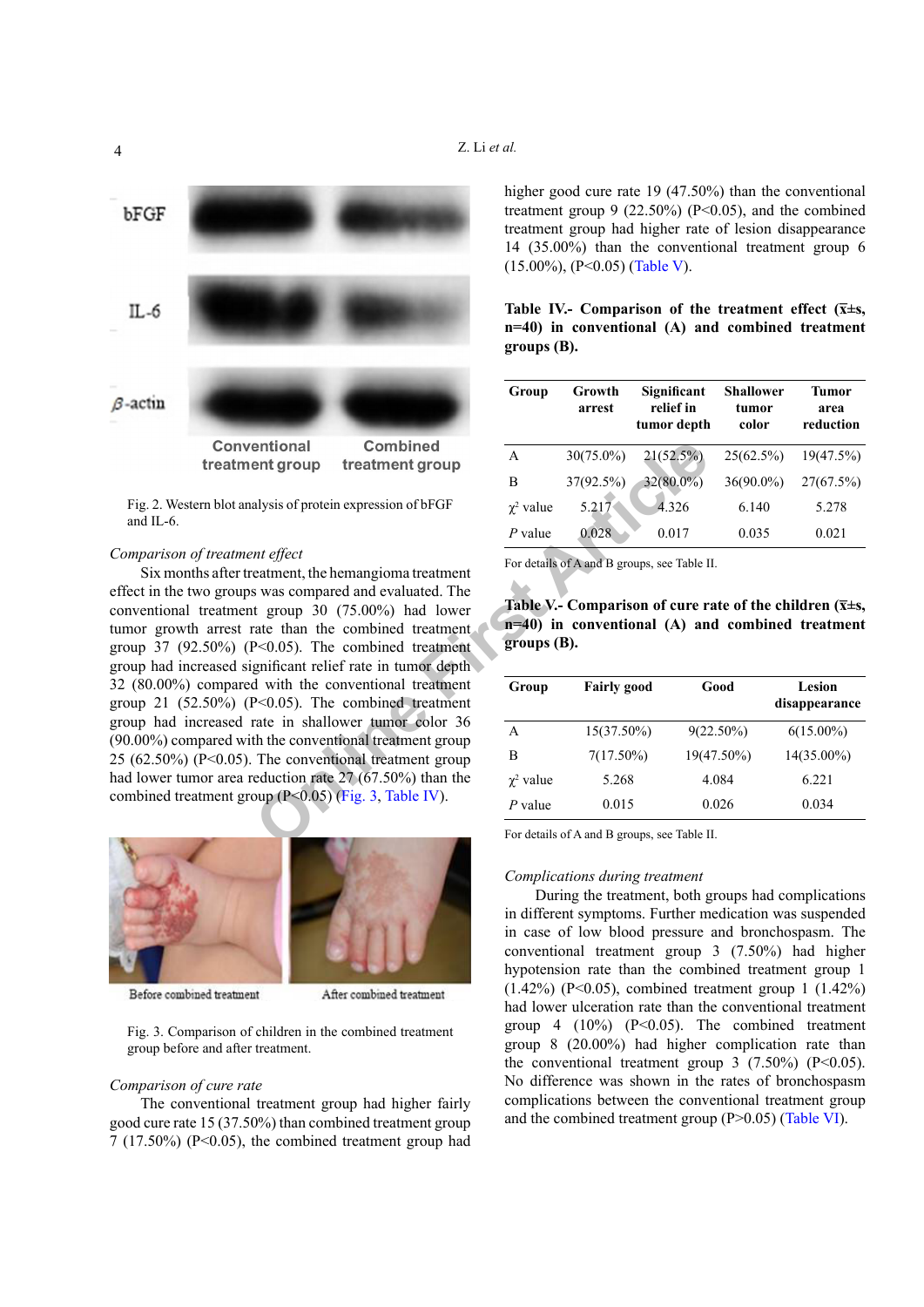**groups (B).**



<span id="page-3-0"></span>Fig. 2. Western blot analysis of protein expression of bFGF and IL-6.

#### *Comparison of treatment effect*

**O[nl](#page-3-1)ine First Article** Six months after treatment, the hemangioma treatment effect in the two groups was compared and evaluated. The conventional treatment group 30 (75.00%) had lower tumor growth arrest rate than the combined treatment. group 37 (92.50%) ( $P<0.05$ ). The combined treatment group had increased significant relief rate in tumor depth 32 (80.00%) compared with the conventional treatment group 21  $(52.50\%)$   $(P<0.05)$ . The combined treatment group had increased rate in shallower tumor color 36 (90.00%) compared with the conventional treatment group 25 (62.50%) (P<0.05). The conventional treatment group had lower tumor area reduction rate 27 (67.50%) than the combined treatment group (P<0.05) (Fig. 3, Table IV).



Before combined treatment

After combined treatment

<span id="page-3-1"></span>Fig. 3. Comparison of children in the combined treatment group before and after treatment.

#### *Comparison of cure rate*

The conventional treatment group had higher fairly good cure rate 15 (37.50%) than combined treatment group  $7(17.50\%)$  (P<0.05), the combined treatment group had

higher good cure rate 19 (47.50%) than the conventional treatment group  $9$  (22.50%) (P<0.05), and the combined treatment group had higher rate of lesion disappearance 14 (35.00%) than the conventional treatment group 6 (15.00%), (P<0.05) ([Table](#page-3-3) V).

<span id="page-3-2"></span>Table IV.- Comparison of the treatment effect  $(\bar{x} \pm s, \bar{y})$ **n=40) in conventional (A) and combined treatment** 

| Group            | Growth<br>arrest | Significant<br>relief in<br>tumor depth | Shallower<br>tumor<br>color | Tumor<br>area<br>reduction |
|------------------|------------------|-----------------------------------------|-----------------------------|----------------------------|
| A                | $30(75.0\%)$     | 21(52.5%)                               | 25(62.5%)                   | 19(47.5%)                  |
| В                | 37(92.5%)        | 32(80.0%)                               | $36(90.0\%)$                | 27(67.5%)                  |
| $\gamma^2$ value | 5.217            | 4.326                                   | 6.140                       | 5.278                      |
| P value          | 0.028            | 0.017                                   | 0.035                       | 0.021                      |

For details of A and B groups, see Table II.

<span id="page-3-3"></span>

|                                 | Table V.- Comparison of cure rate of the children ( $\bar{x} \pm s$ , |  |  |
|---------------------------------|-----------------------------------------------------------------------|--|--|
|                                 | $n=40$ ) in conventional (A) and combined treatment                   |  |  |
| $\overline{\text{groups}}$ (B). |                                                                       |  |  |

| Group            | <b>Fairly good</b> | Good         | Lesion<br>disappearance |
|------------------|--------------------|--------------|-------------------------|
| A                | 15(37.50%)         | $9(22.50\%)$ | $6(15.00\%)$            |
| в                | $7(17.50\%)$       | 19(47.50%)   | $14(35.00\%)$           |
| $\gamma^2$ value | 5.268              | 4.084        | 6.221                   |
| P value          | 0.015              | 0.026        | 0.034                   |

For details of A and B groups, see Table II.

## *Complications during treatment*

During the treatment, both groups had complications in different symptoms. Further medication was suspended in case of low blood pressure and bronchospasm. The conventional treatment group 3 (7.50%) had higher hypotension rate than the combined treatment group 1 (1.42%) (P<0.05), combined treatment group 1 (1.42%) had lower ulceration rate than the conventional treatment group 4  $(10\%)$   $(P<0.05)$ . The combined treatment group 8 (20.00%) had higher complication rate than the conventional treatment group  $3$  (7.50%) (P<0.05). No difference was shown in the rates of bronchospasm complications between the conventional treatment group and the combined treatment group (P>0.05) [\(Table](#page-4-0) VI).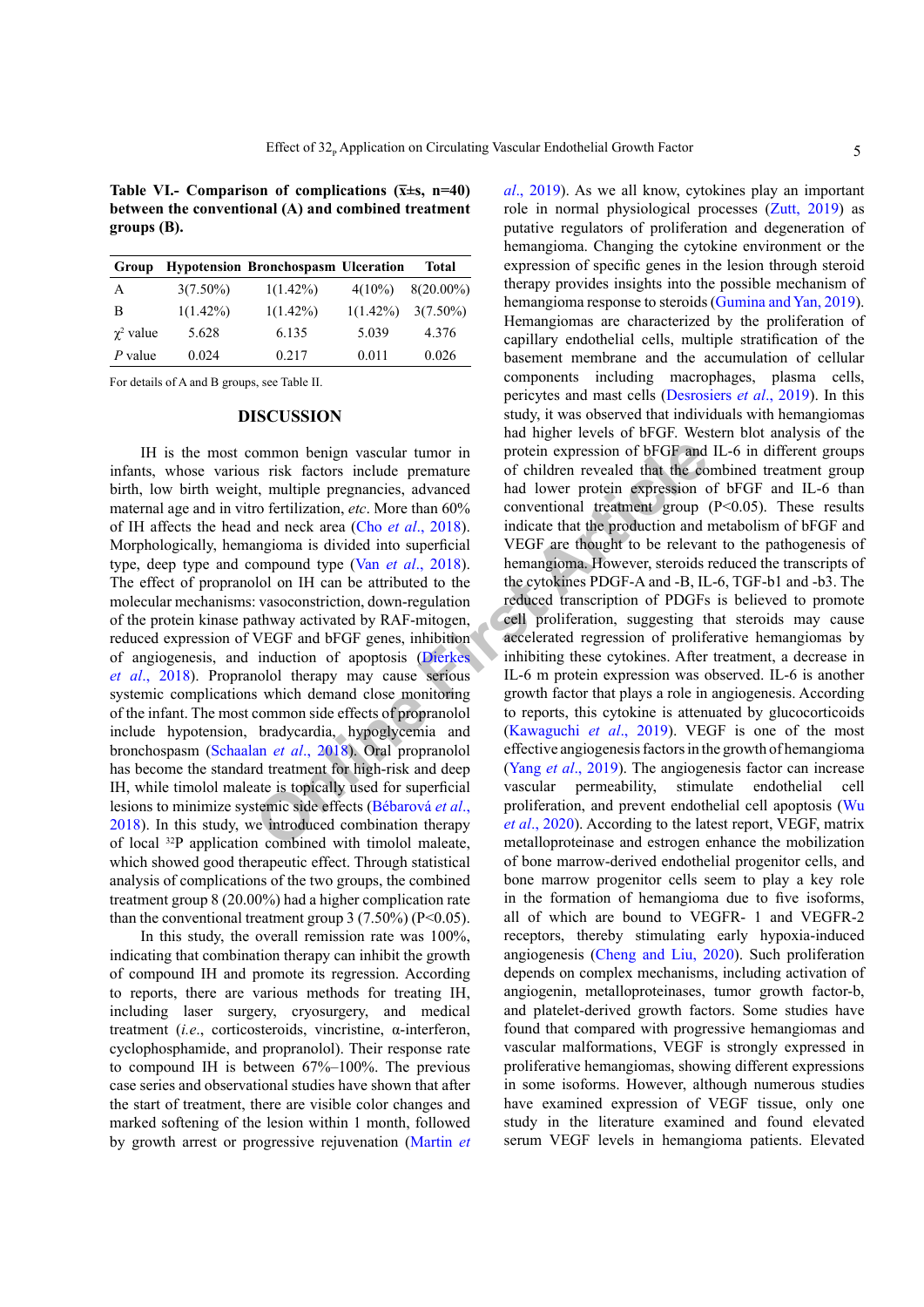<span id="page-4-0"></span>Table VI.- Comparison of complications  $(\bar{x} \pm s, n=40)$ **between the conventional (A) and combined treatment groups (B).**

| Group            |             | <b>Hypotension Bronchospasm Ulceration</b> |             | <b>Total</b> |
|------------------|-------------|--------------------------------------------|-------------|--------------|
| A                | $3(7.50\%)$ | $1(1.42\%)$                                | $4(10\%)$   | $8(20.00\%)$ |
| B                | $1(1.42\%)$ | $1(1.42\%)$                                | $1(1.42\%)$ | $3(7.50\%)$  |
| $\gamma^2$ value | 5.628       | 6.135                                      | 5.039       | 4.376        |
| $P$ value        | 0.024       | 0.217                                      | 0.011       | 0.026        |

For details of A and B groups, see Table II.

## **DISCUSSION**

ommon benign vascular tumor in protein expression of bFGF and<br>
it, multiple pregnancies, advanced had lower protein expression co<br>
ferti[li](#page-6-3)zation, *etc.* More than 60% conventional tradement group<br>
and neck article (Cho *e* IH is the most common benign vascular tumor in infants, whose various risk factors include premature birth, low birth weight, multiple pregnancies, advanced maternal age and in vitro fertilization, *etc*. More than 60% of IH affects the head and neck area (Cho *et al*., 2018). Morphologically, hemangioma is divided into superficial type, deep type and compound type (Van *et al*., 2018). The effect of propranolol on IH can be attributed to the molecular mechanisms: vasoconstriction, down-regulation of the protein kinase pathway activated by RAF-mitogen, reduced expression of VEGF and bFGF genes, inhibition of angiogenesis, and induction of apoptosis (Dierkes *et al*., 2018). Propranolol therapy may cause serious systemic complications which demand close monitoring of the infant. The most common side effects of propranolol include hypotension, bradycardia, hypoglycemia and bronchospasm (Schaalan *et al*., 2018). Oral propranolol has become the standard treatment for high-risk and deep IH, while timolol maleate is topically used for superficial lesions to minimize systemic side effects (Bébarová *et al*., 2018). In this study, we introduced combination therapy of local 32P application combined with timolol maleate, which showed good therapeutic effect. Through statistical analysis of complications of the two groups, the combined treatment group 8 (20.00%) had a higher complication rate than the conventional treatment group  $3(7.50\%)$  (P<0.05).

In this study, the overall remission rate was 100%, indicating that combination therapy can inhibit the growth of compound IH and promote its regression. According to reports, there are various methods for treating IH, including laser surgery, cryosurgery, and medical treatment (*i.e*., corticosteroids, vincristine, α-interferon, cyclophosphamide, and propranolol). Their response rate to compound IH is between 67%–100%. The previous case series and observational studies have shown that after the start of treatment, there are visible color changes and marked softening of the lesion within 1 month, followed by growth arrest or progressive rejuvenation [\(Martin](#page-6-4) *et*  *al*[., 2019](#page-6-4)). As we all know, cytokines play an important role in normal physiological processes ([Zutt, 2019\)](#page-6-5) as putative regulators of proliferation and degeneration of hemangioma. Changing the cytokine environment or the expression of specific genes in the lesion through steroid therapy provides insights into the possible mechanism of hemangioma response to steroids [\(Gumina and Yan, 2019](#page-5-4)). Hemangiomas are characterized by the proliferation of capillary endothelial cells, multiple stratification of the basement membrane and the accumulation of cellular components including macrophages, plasma cells, pericytes and mast cells [\(Desrosiers](#page-5-5) *et al*., 2019). In this study, it was observed that individuals with hemangiomas had higher levels of bFGF. Western blot analysis of the protein expression of bFGF and IL-6 in different groups of children revealed that the combined treatment group had lower protein expression of bFGF and IL-6 than conventional treatment group (P<0.05). These results indicate that the production and metabolism of bFGF and VEGF are thought to be relevant to the pathogenesis of hemangioma. However, steroids reduced the transcripts of the cytokines PDGF-A and -B, IL-6, TGF-b1 and -b3. The reduced transcription of PDGFs is believed to promote cell proliferation, suggesting that steroids may cause accelerated regression of proliferative hemangiomas by inhibiting these cytokines. After treatment, a decrease in IL-6 m protein expression was observed. IL-6 is another growth factor that plays a role in angiogenesis. According to reports, this cytokine is attenuated by glucocorticoids (Kawaguchi *et al*., 2019). VEGF is one of the most effective angiogenesis factors in the growth of hemangioma (Yang *et al*., 2019). The angiogenesis factor can increase vascular permeability, stimulate endothelial cell proliferation, and prevent endothelial cell apoptosis [\(Wu](#page-6-7) *et al*., 2020). According to the latest report, VEGF, matrix metalloproteinase and estrogen enhance the mobilization of bone marrow-derived endothelial progenitor cells, and bone marrow progenitor cells seem to play a key role in the formation of hemangioma due to five isoforms, all of which are bound to VEGFR- 1 and VEGFR-2 receptors, thereby stimulating early hypoxia-induced angiogenesis ([Cheng and Liu, 2020](#page-5-7)). Such proliferation depends on complex mechanisms, including activation of angiogenin, metalloproteinases, tumor growth factor-b, and platelet-derived growth factors. Some studies have found that compared with progressive hemangiomas and vascular malformations, VEGF is strongly expressed in proliferative hemangiomas, showing different expressions in some isoforms. However, although numerous studies have examined expression of VEGF tissue, only one study in the literature examined and found elevated serum VEGF levels in hemangioma patients. Elevated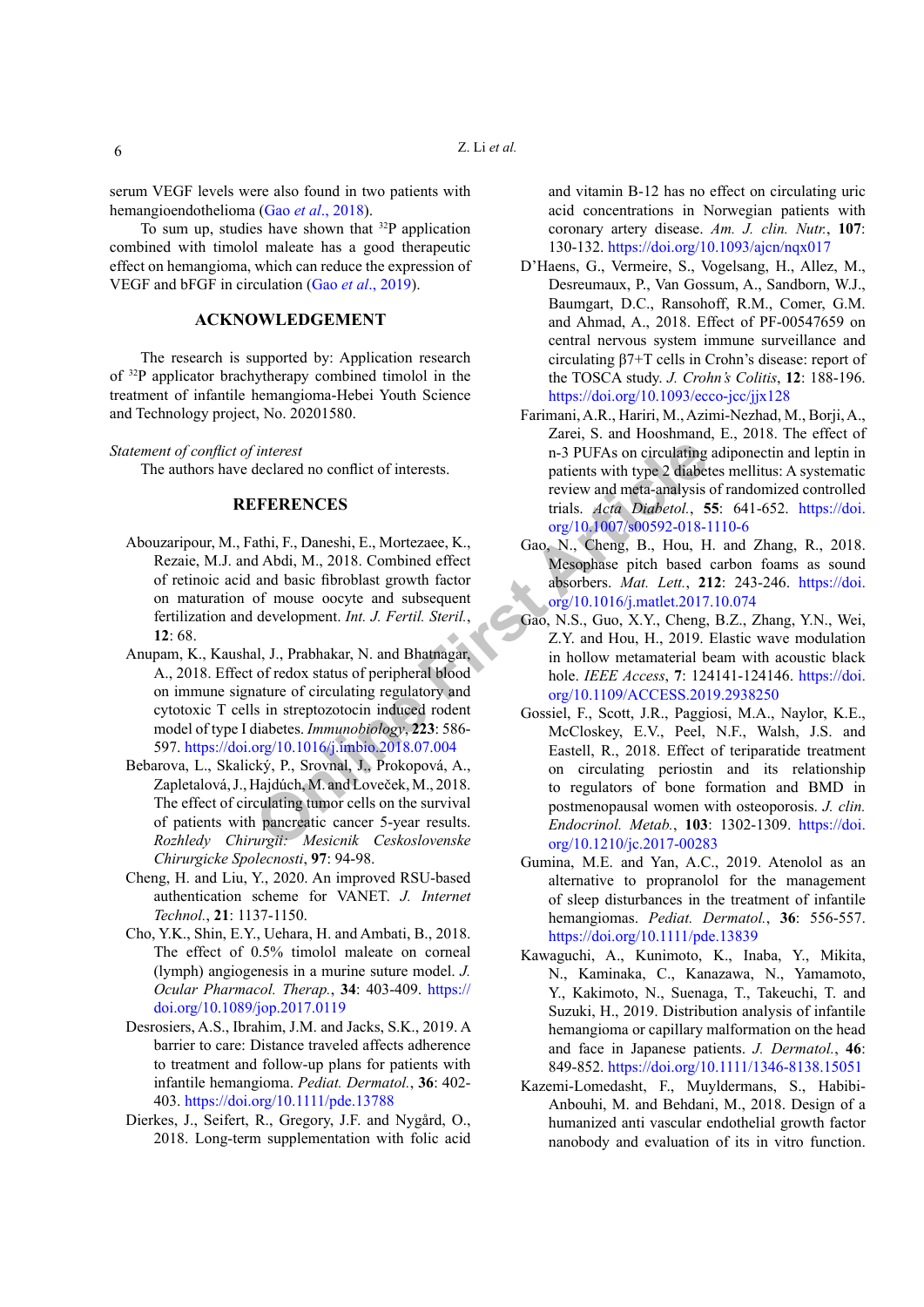serum VEGF levels were also found in two patients with hemangioendothelioma (Gao *et al*[., 2018\)](#page-5-8).

To sum up, studies have shown that  $32P$  application combined with timolol maleate has a good therapeutic effect on hemangioma, which can reduce the expression of VEGF and bFGF in circulation (Gao *et al*[., 2019](#page-5-9)).

## **ACKNOWLEDGEMENT**

The research is supported by: Application research of 32P applicator brachytherapy combined timolol in the treatment of infantile hemangioma-Hebei Youth Science and Technology project, No. 20201580.

#### *Statement of conflict of interest*

The authors have declared no conflict of interests.

#### **REFERENCES**

- <span id="page-5-0"></span>Abouzaripour, M., Fathi, F., Daneshi, E., Mortezaee, K., Rezaie, M.J. and Abdi, M., 2018. Combined effect of retinoic acid and basic fibroblast growth factor on maturation of mouse oocyte and subsequent fertilization and development. *Int. J. Fertil. Steril.*, **12**: 68.
- <span id="page-5-2"></span>Anupam, K., Kaushal, J., Prabhakar, N. and Bhatnagar, A., 2018. Effect of redox status of peripheral blood on immune signature of circulating regulatory and cytotoxic T cells in streptozotocin induced rodent model of type I diabetes. *Immunobiology*, **223**: 586- 597. https://doi.org/10.1016/j.imbio.2018.07.004
- Bebarova, L., Skalický, P., Srovnal, J., Prokopová, A., Zapletalová, J., Hajdúch, M. and Loveček, M., 2018. The effect of circulating tumor cells on the survival of patients with pancreatic cancer 5-year results. *Rozhledy Chirurgii: Mesicnik Ceskoslovenske Chirurgicke Spolecnosti*, **97**: 94-98.
- <span id="page-5-7"></span>Cheng, H. and Liu, Y., 2020. An improved RSU-based authentication scheme for VANET. *J. Internet Technol.*, **21**: 1137-1150.
- <span id="page-5-3"></span>Cho, Y.K., Shin, E.Y., Uehara, H. and Ambati, B., 2018. The effect of 0.5% timolol maleate on corneal (lymph) angiogenesis in a murine suture model. *J. Ocular Pharmacol. Therap.*, **34**: 403-409. [https://](https://doi.org/10.1089/jop.2017.0119) [doi.org/10.1089/jop.2017.0119](https://doi.org/10.1089/jop.2017.0119)
- <span id="page-5-5"></span>Desrosiers, A.S., Ibrahim, J.M. and Jacks, S.K., 2019. A barrier to care: Distance traveled affects adherence to treatment and follow-up plans for patients with infantile hemangioma. *Pediat. Dermatol.*, **36**: 402- 403.<https://doi.org/10.1111/pde.13788>
- Dierkes, J., Seifert, R., Gregory, J.F. and Nygård, O., 2018. Long-term supplementation with folic acid

and vitamin B-12 has no effect on circulating uric acid concentrations in Norwegian patients with coronary artery disease. *Am. J. clin. Nutr.*, **107**: 130-132. <https://doi.org/10.1093/ajcn/nqx017>

- D'Haens, G., Vermeire, S., Vogelsang, H., Allez, M., Desreumaux, P., Van Gossum, A., Sandborn, W.J., Baumgart, D.C., Ransohoff, R.M., Comer, G.M. and Ahmad, A., 2018. Effect of PF-00547659 on central nervous system immune surveillance and circulating β7+T cells in Crohn's disease: report of the TOSCA study. *J. Crohn's Colitis*, **12**: 188-196. <https://doi.org/10.1093/ecco-jcc/jjx128>
- Farimani, A.R., Hariri, M., Azimi-Nezhad, M., Borji, A., Zarei, S. and Hooshmand, E., 2018. The effect of n-3 PUFAs on circulating adiponectin and leptin in patients with type 2 diabetes mellitus: A systematic review and meta-analysis of randomized controlled trials. *Acta Diabetol.*, **55**: 641-652. [https://doi.](https://doi.org/10.1007/s00592-018-1110-6) org/10.1007/s00592-018-1110-6
- <span id="page-5-8"></span>Gao, N., Cheng, B., Hou, H. and Zhang, R., 2018. Mesophase pitch based carbon foams as sound absorbers. *Mat. Lett.*, **212**: 243-246. [https://doi.](https://doi.org/10.1016/j.matlet.2017.10.074) org/10.1016/j.matlet.2017.10.074
- <span id="page-5-9"></span><span id="page-5-6"></span><span id="page-5-4"></span><span id="page-5-1"></span>Gao, N.S., Guo, X.Y., Cheng, B.Z., Zhang, Y.N., Wei, Z.Y. and Hou, H., 2019. Elastic wave modulation in hollow metamaterial beam with acoustic black hole. *IEEE Access*, **7**: 124141-124146. [https://doi.](https://doi.org/10.1109/ACCESS.2019.2938250) [org/10.1109/ACCESS.2019.2938250](https://doi.org/10.1109/ACCESS.2019.2938250)
- FIRENCES Interest notice of interests.<br> **ONEXE SERION CENTERENCES** This patients with type 2 diabet<br> **ONEXE SERION CES EXECUTES** The state  $A$  and the state  $A$  and  $A$  bids and basic fibroblast growth factor<br>
org/10 1007/ Gossiel, F., Scott, J.R., Paggiosi, M.A., Naylor, K.E., McCloskey, E.V., Peel, N.F., Walsh, J.S. and Eastell, R., 2018. Effect of teriparatide treatment on circulating periostin and its relationship to regulators of bone formation and BMD in postmenopausal women with osteoporosis. *J. clin. Endocrinol. Metab.*, **103**: 1302-1309. [https://doi.](https://doi.org/10.1210/jc.2017-00283) [org/10.1210/jc.2017-00283](https://doi.org/10.1210/jc.2017-00283)
	- Gumina, M.E. and Yan, A.C., 2019. Atenolol as an alternative to propranolol for the management of sleep disturbances in the treatment of infantile hemangiomas. *Pediat. Dermatol.*, **36**: 556-557. <https://doi.org/10.1111/pde.13839>
	- Kawaguchi, A., Kunimoto, K., Inaba, Y., Mikita, N., Kaminaka, C., Kanazawa, N., Yamamoto, Y., Kakimoto, N., Suenaga, T., Takeuchi, T. and Suzuki, H., 2019. Distribution analysis of infantile hemangioma or capillary malformation on the head and face in Japanese patients. *J. Dermatol.*, **46**: 849-852. <https://doi.org/10.1111/1346-8138.15051>
	- Kazemi-Lomedasht, F., Muyldermans, S., Habibi-Anbouhi, M. and Behdani, M., 2018. Design of a humanized anti vascular endothelial growth factor nanobody and evaluation of its in vitro function.